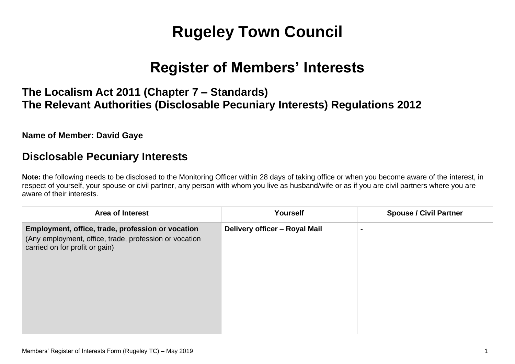# **Rugeley Town Council**

## **Register of Members' Interests**

## **The Localism Act 2011 (Chapter 7 – Standards) The Relevant Authorities (Disclosable Pecuniary Interests) Regulations 2012**

#### **Name of Member: David Gaye**

### **Disclosable Pecuniary Interests**

**Note:** the following needs to be disclosed to the Monitoring Officer within 28 days of taking office or when you become aware of the interest, in respect of yourself, your spouse or civil partner, any person with whom you live as husband/wife or as if you are civil partners where you are aware of their interests.

| <b>Area of Interest</b>                                                                                                                       | Yourself                      | <b>Spouse / Civil Partner</b> |
|-----------------------------------------------------------------------------------------------------------------------------------------------|-------------------------------|-------------------------------|
| Employment, office, trade, profession or vocation<br>(Any employment, office, trade, profession or vocation<br>carried on for profit or gain) | Delivery officer - Royal Mail | $\blacksquare$                |
|                                                                                                                                               |                               |                               |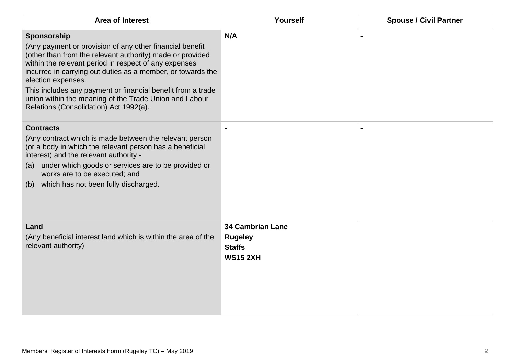| <b>Area of Interest</b>                                                                                                                                                                                                                                                                                                                                                                                                                               | Yourself                                                                      | <b>Spouse / Civil Partner</b> |
|-------------------------------------------------------------------------------------------------------------------------------------------------------------------------------------------------------------------------------------------------------------------------------------------------------------------------------------------------------------------------------------------------------------------------------------------------------|-------------------------------------------------------------------------------|-------------------------------|
| Sponsorship<br>(Any payment or provision of any other financial benefit<br>(other than from the relevant authority) made or provided<br>within the relevant period in respect of any expenses<br>incurred in carrying out duties as a member, or towards the<br>election expenses.<br>This includes any payment or financial benefit from a trade<br>union within the meaning of the Trade Union and Labour<br>Relations (Consolidation) Act 1992(a). | N/A                                                                           |                               |
| <b>Contracts</b><br>(Any contract which is made between the relevant person<br>(or a body in which the relevant person has a beneficial<br>interest) and the relevant authority -<br>under which goods or services are to be provided or<br>(a)<br>works are to be executed; and<br>which has not been fully discharged.<br>(b)                                                                                                                       |                                                                               |                               |
| Land<br>(Any beneficial interest land which is within the area of the<br>relevant authority)                                                                                                                                                                                                                                                                                                                                                          | <b>34 Cambrian Lane</b><br><b>Rugeley</b><br><b>Staffs</b><br><b>WS15 2XH</b> |                               |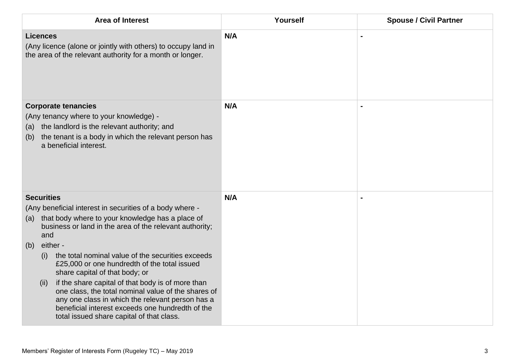| <b>Area of Interest</b>                                                                                                                                                                                                                                                                                                                                                                                             | Yourself | <b>Spouse / Civil Partner</b> |
|---------------------------------------------------------------------------------------------------------------------------------------------------------------------------------------------------------------------------------------------------------------------------------------------------------------------------------------------------------------------------------------------------------------------|----------|-------------------------------|
| <b>Licences</b><br>(Any licence (alone or jointly with others) to occupy land in<br>the area of the relevant authority for a month or longer.                                                                                                                                                                                                                                                                       | N/A      |                               |
| <b>Corporate tenancies</b><br>(Any tenancy where to your knowledge) -<br>the landlord is the relevant authority; and<br>(a)<br>the tenant is a body in which the relevant person has<br>(b)<br>a beneficial interest.                                                                                                                                                                                               | N/A      |                               |
| <b>Securities</b><br>(Any beneficial interest in securities of a body where -<br>that body where to your knowledge has a place of<br>(a)<br>business or land in the area of the relevant authority;<br>and<br>either -<br>(b)                                                                                                                                                                                       | N/A      |                               |
| the total nominal value of the securities exceeds<br>(i)<br>£25,000 or one hundredth of the total issued<br>share capital of that body; or<br>if the share capital of that body is of more than<br>(ii)<br>one class, the total nominal value of the shares of<br>any one class in which the relevant person has a<br>beneficial interest exceeds one hundredth of the<br>total issued share capital of that class. |          |                               |